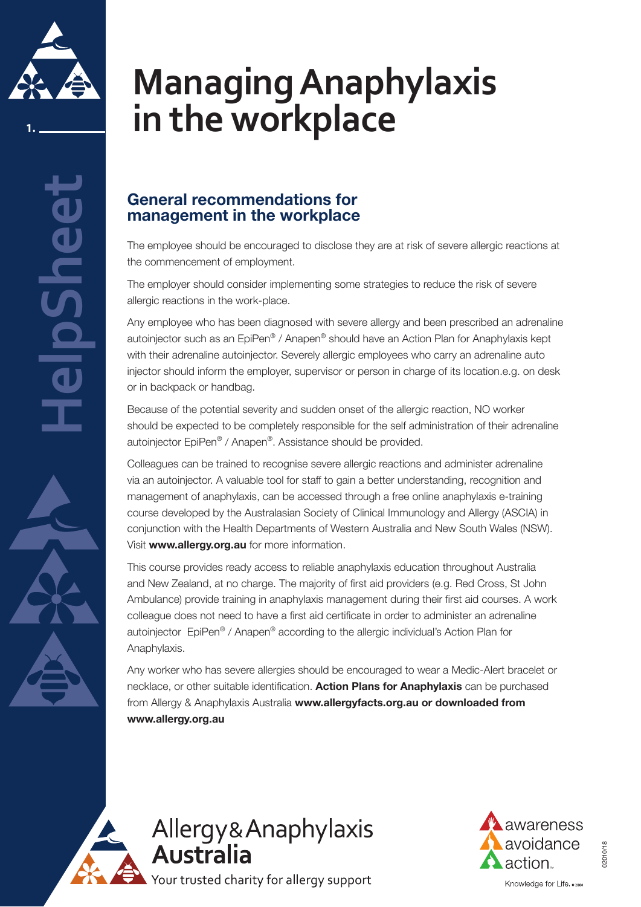

**1.**

## **Managing Anaphylaxis in the workplace**

### **General recommendations for management in the workplace**

The employee should be encouraged to disclose they are at risk of severe allergic reactions at the commencement of employment.

The employer should consider implementing some strategies to reduce the risk of severe allergic reactions in the work-place.

Any employee who has been diagnosed with severe allergy and been prescribed an adrenaline autoinjector such as an EpiPen® / Anapen® should have an Action Plan for Anaphylaxis kept with their adrenaline autoinjector. Severely allergic employees who carry an adrenaline auto injector should inform the employer, supervisor or person in charge of its location.e.g. on desk or in backpack or handbag.

Because of the potential severity and sudden onset of the allergic reaction, NO worker should be expected to be completely responsible for the self administration of their adrenaline autoinjector EpiPen® / Anapen®. Assistance should be provided.

Colleagues can be trained to recognise severe allergic reactions and administer adrenaline via an autoinjector. A valuable tool for staff to gain a better understanding, recognition and management of anaphylaxis, can be accessed through a free online anaphylaxis e-training course developed by the Australasian Society of Clinical Immunology and Allergy (ASCIA) in conjunction with the Health Departments of Western Australia and New South Wales (NSW). Visit **www.allergy.org.au** for more information.

This course provides ready access to reliable anaphylaxis education throughout Australia and New Zealand, at no charge. The majority of first aid providers (e.g. Red Cross, St John Ambulance) provide training in anaphylaxis management during their first aid courses. A work colleague does not need to have a first aid certificate in order to administer an adrenaline autoinjector EpiPen® / Anapen® according to the allergic individual's Action Plan for Anaphylaxis.

Any worker who has severe allergies should be encouraged to wear a Medic-Alert bracelet or necklace, or other suitable identification. **Action Plans for Anaphylaxis** can be purchased from Allergy & Anaphylaxis Australia **www.allergyfacts.org.au or downloaded from www.allergy.org.au**



Allergy&Anaphylaxis **Australia** Your trusted charity for allergy support



2010/18 02010/18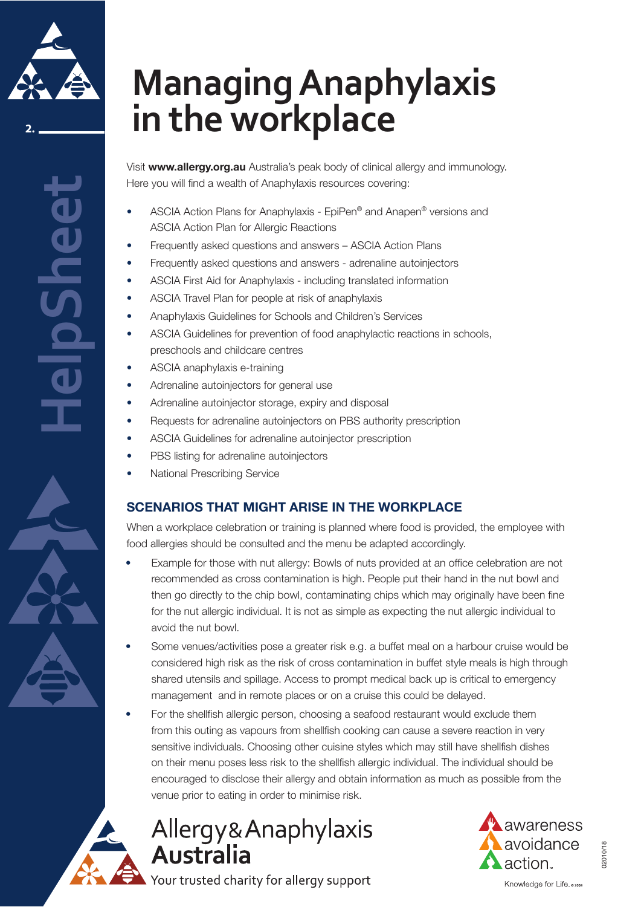

**2.**

**HelpSheet**

# **Managing Anaphylaxis in the workplace**

Visit **www.allergy.org.au** Australia's peak body of clinical allergy and immunology. Here you will find a wealth of Anaphylaxis resources covering:

- ASCIA Action Plans for Anaphylaxis EpiPen® and Anapen® versions and ASCIA Action Plan for Allergic Reactions
- Frequently asked questions and answers ASCIA Action Plans
- Frequently asked questions and answers adrenaline autoinjectors
- ASCIA First Aid for Anaphylaxis including translated information
- ASCIA Travel Plan for people at risk of anaphylaxis
- Anaphylaxis Guidelines for Schools and Children's Services
- ASCIA Guidelines for prevention of food anaphylactic reactions in schools, preschools and childcare centres
- ASCIA anaphylaxis e-training
- Adrenaline autoinjectors for general use
- Adrenaline autoinjector storage, expiry and disposal
- Requests for adrenaline autoinjectors on PBS authority prescription
- ASCIA Guidelines for adrenaline autoinjector prescription
- PBS listing for adrenaline autoinjectors
- National Prescribing Service

### **Scenarios that might arise in the workplace**

When a workplace celebration or training is planned where food is provided, the employee with food allergies should be consulted and the menu be adapted accordingly.

- Example for those with nut allergy: Bowls of nuts provided at an office celebration are not recommended as cross contamination is high. People put their hand in the nut bowl and then go directly to the chip bowl, contaminating chips which may originally have been fine for the nut allergic individual. It is not as simple as expecting the nut allergic individual to avoid the nut bowl.
- Some venues/activities pose a greater risk e.g. a buffet meal on a harbour cruise would be considered high risk as the risk of cross contamination in buffet style meals is high through shared utensils and spillage. Access to prompt medical back up is critical to emergency management and in remote places or on a cruise this could be delayed.
- For the shellfish allergic person, choosing a seafood restaurant would exclude them from this outing as vapours from shellfish cooking can cause a severe reaction in very sensitive individuals. Choosing other cuisine styles which may still have shellfish dishes on their menu poses less risk to the shellfish allergic individual. The individual should be encouraged to disclose their allergy and obtain information as much as possible from the venue prior to eating in order to minimise risk.



Allergy& Anaphylaxis Australia



Your trusted charity for allergy support

02010/18

2010/18